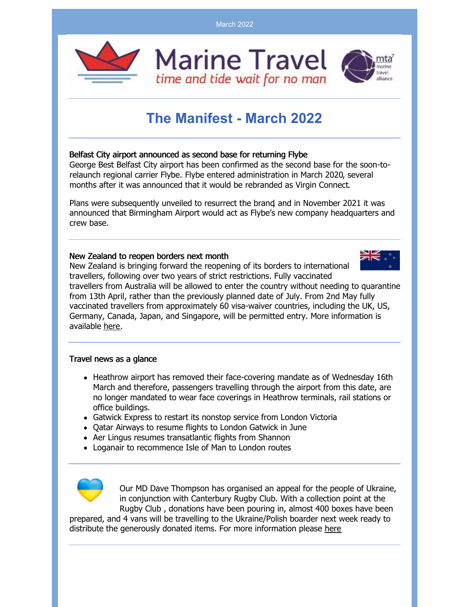March 2022



## **The Manifest - March 2022**

## Belfast City airport announced as second base for returning Flybe

George Best Belfast City airport has been confirmed as the second base for the soon-torelaunch regional carrier Flybe. Flybe entered [administration](https://www.businesstraveller.com/business-travel/2020/03/05/flybe-enters-administration/) in March 2020, several months after it was announced that it would be [rebranded](https://www.businesstraveller.com/business-travel/2019/10/15/flybe-to-rebrand-as-virgin-connect/) as Virgin Connect.

Plans were [subsequently](https://www.businesstraveller.com/business-travel/2020/10/19/flybe-brand-set-for-return-in-early-2021/) unveiled to resurrect the brand, and in November 2021 it was announced that Birmingham Airport would act as Flybe's new company headquarters and crew base.

## New Zealand to reopen borders next month

New Zealand is bringing forward the reopening of its borders to international travellers, following over two years of strict restrictions. Fully vaccinated

travellers from Australia will be allowed to enter the country without needing to quarantine from 13th April, rather than the previously planned date of July. From 2nd May fully vaccinated travellers from approximately 60 visa-waiver countries, including the UK, US, Germany, Canada, Japan, and Singapore, will be permitted entry. More information is available [here](https://covid19.govt.nz/international-travel/travel-to-new-zealand/when-new-zealand-borders-open/).

## Travel news as a glance

- Heathrow airport has removed their face-covering mandate as of Wednesday 16th March and therefore, passengers travelling through the airport from this date, are no longer mandated to wear face coverings in Heathrow terminals, rail stations or office buildings.
- Gatwick Express to restart its nonstop service from London Victoria
- Qatar Airways to resume flights to London Gatwick in June
- Aer Lingus resumes transatlantic flights from Shannon
- Loganair to recommence Isle of Man to London routes



Our MD Dave Thompson has organised an appeal for the people of Ukraine, in conjunction with Canterbury Rugby Club. With a collection point at the Rugby Club , donations have been pouring in, almost 400 boxes have been

prepared, and 4 vans will be travelling to the Ukraine/Polish boarder next week ready to distribute the generously donated items. For more information please [here](https://www.marine.travel/marine-news/post/ukraine-appeal/)